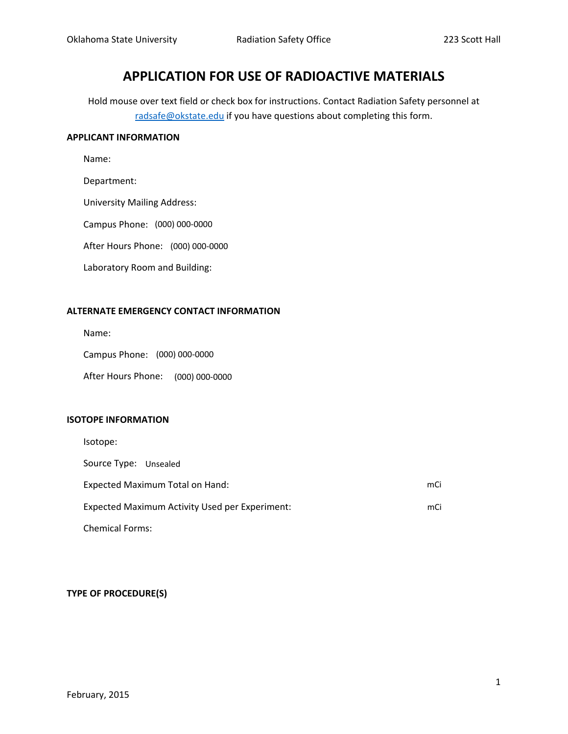# **APPLICATION FOR USE OF RADIOACTIVE MATERIALS**

Hold mouse over text field or check box for instructions. Contact Radiation Safety personnel at radsafe@okstate.edu if you have questions about completing this form.

#### **APPLICANT INFORMATION**

Name:

Department:

University Mailing Address:

Campus Phone: (000) 000-0000

After Hours Phone: (000) 000-0000

Laboratory Room and Building:

## **ALTERNATE EMERGENCY CONTACT INFORMATION**

Name:

Campus Phone: (000) 000-0000

After Hours Phone: (000) 000-0000

## **ISOTOPE INFORMATION**

| Isotope:                                       |     |  |
|------------------------------------------------|-----|--|
| Source Type: Unsealed                          |     |  |
| Expected Maximum Total on Hand:                | mCi |  |
| Expected Maximum Activity Used per Experiment: |     |  |
| <b>Chemical Forms:</b>                         |     |  |

## **TYPE OF PROCEDURE(S)**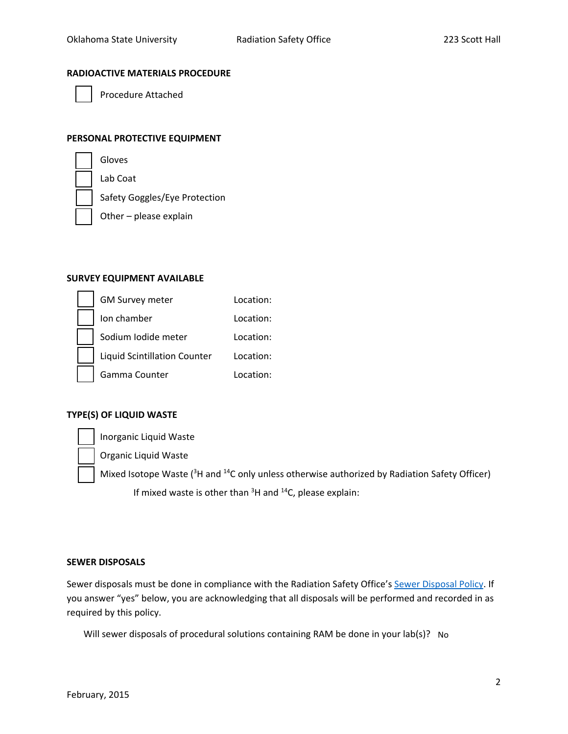#### **RADIOACTIVE MATERIALS PROCEDURE**



Procedure Attached

## **PERSONAL PROTECTIVE EQUIPMENT**

| Gloves |
|--------|
|        |

Lab Coat

Safety Goggles/Eye Protection

Other – please explain

#### **SURVEY EQUIPMENT AVAILABLE**

| <b>GM Survey meter</b>              | Location: |
|-------------------------------------|-----------|
| Ion chamber                         | Location: |
| Sodium Iodide meter                 | Location: |
| <b>Liquid Scintillation Counter</b> | Location: |
| Gamma Counter                       | Location: |

## **TYPE(S) OF LIQUID WASTE**

Inorganic Liquid Waste

Organic Liquid Waste

Mixed Isotope Waste (<sup>3</sup>H and <sup>14</sup>C only unless otherwise authorized by Radiation Safety Officer) If mixed waste is other than  $3H$  and  $14C$ , please explain:

#### **SEWER DISPOSALS**

Sewer disposals must be done in compliance with the Radiation Safety Office's Sewer [Disposal](http://compliance.okstate.edu/sites/default/files/rso_docs/RSO%20Policy%20-%20Sewer%20Disposals.pdf) Policy. If you answer "yes" below, you are acknowledging that all disposals will be performed and recorded in as required by this policy.

Will sewer disposals of procedural solutions containing RAM be done in your lab(s)? No